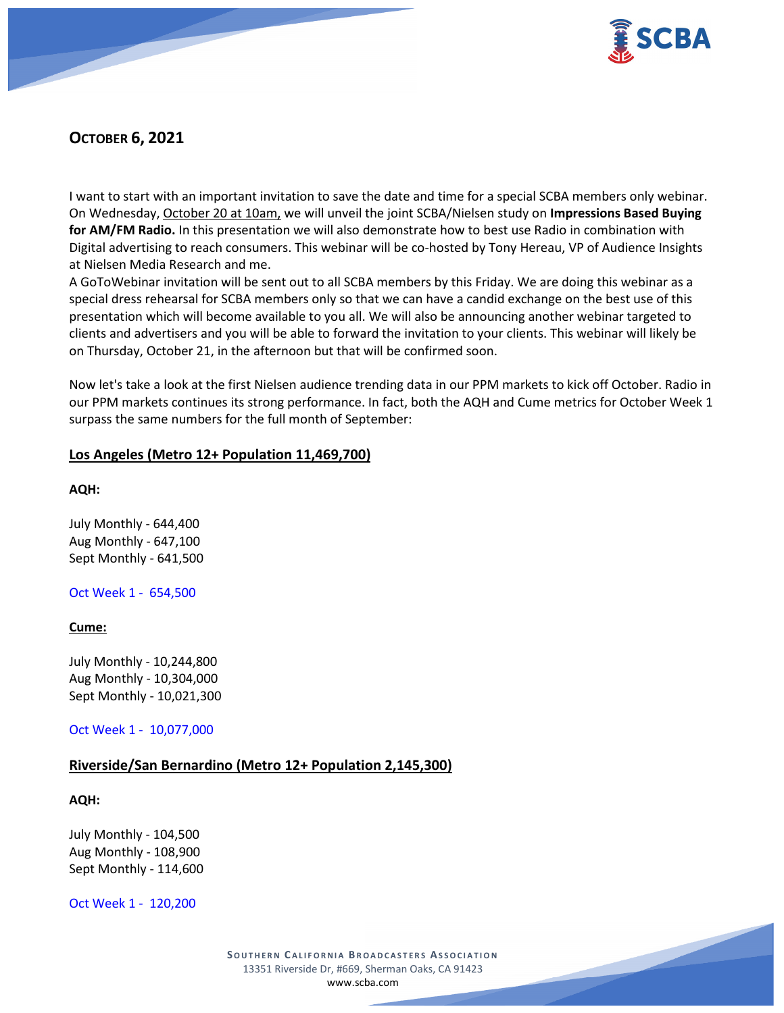

# **OCTOBER 6, 2021**

I want to start with an important invitation to save the date and time for a special SCBA members only webinar. On Wednesday, October 20 at 10am, we will unveil the joint SCBA/Nielsen study on **Impressions Based Buying for AM/FM Radio.** In this presentation we will also demonstrate how to best use Radio in combination with Digital advertising to reach consumers. This webinar will be co-hosted by Tony Hereau, VP of Audience Insights at Nielsen Media Research and me.

A GoToWebinar invitation will be sent out to all SCBA members by this Friday. We are doing this webinar as a special dress rehearsal for SCBA members only so that we can have a candid exchange on the best use of this presentation which will become available to you all. We will also be announcing another webinar targeted to clients and advertisers and you will be able to forward the invitation to your clients. This webinar will likely be on Thursday, October 21, in the afternoon but that will be confirmed soon.

Now let's take a look at the first Nielsen audience trending data in our PPM markets to kick off October. Radio in our PPM markets continues its strong performance. In fact, both the AQH and Cume metrics for October Week 1 surpass the same numbers for the full month of September:

### **Los Angeles (Metro 12+ Population 11,469,700)**

**AQH:**

July Monthly - 644,400 Aug Monthly - 647,100 Sept Monthly - 641,500

Oct Week 1 - 654,500

#### **Cume:**

July Monthly - 10,244,800 Aug Monthly - 10,304,000 Sept Monthly - 10,021,300

Oct Week 1 - 10,077,000

## **Riverside/San Bernardino (Metro 12+ Population 2,145,300)**

**AQH:**

July Monthly - 104,500 Aug Monthly - 108,900 Sept Monthly - 114,600

Oct Week 1 - 120,200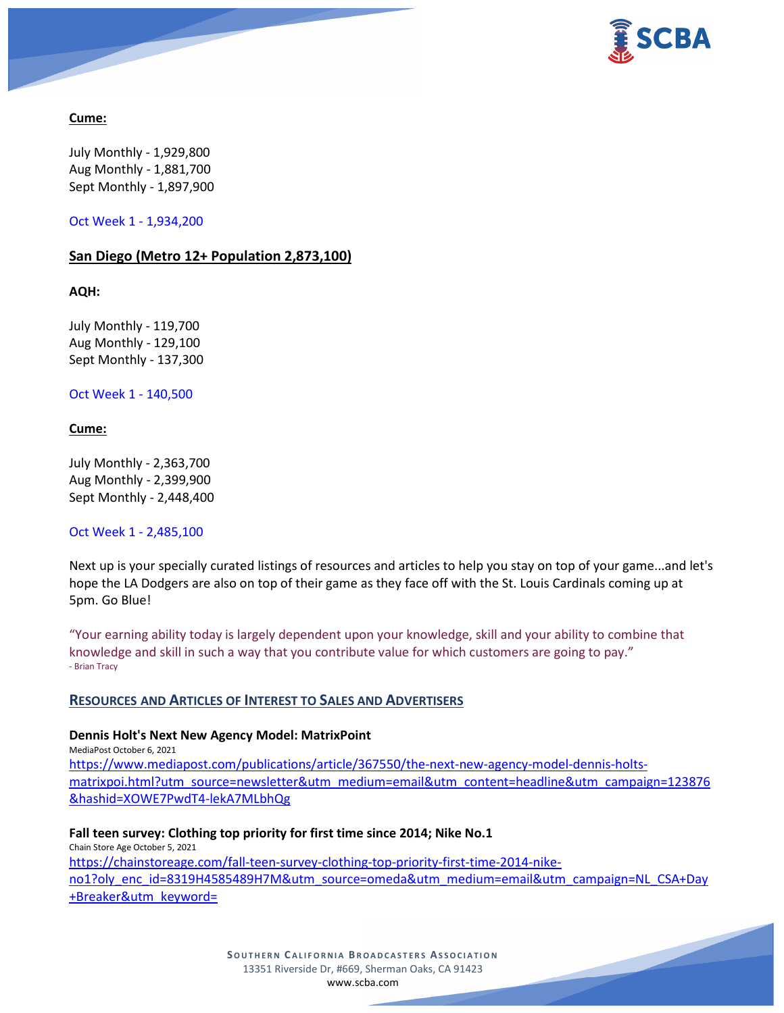

## **Cume:**

July Monthly - 1,929,800 Aug Monthly - 1,881,700 Sept Monthly - 1,897,900

Oct Week 1 - 1,934,200

## **San Diego (Metro 12+ Population 2,873,100)**

**AQH:**

July Monthly - 119,700 Aug Monthly - 129,100 Sept Monthly - 137,300

Oct Week 1 - 140,500

### **Cume:**

July Monthly - 2,363,700 Aug Monthly - 2,399,900 Sept Monthly - 2,448,400

Oct Week 1 - 2,485,100

Next up is your specially curated listings of resources and articles to help you stay on top of your game...and let's hope the LA Dodgers are also on top of their game as they face off with the St. Louis Cardinals coming up at 5pm. Go Blue!

"Your earning ability today is largely dependent upon your knowledge, skill and your ability to combine that knowledge and skill in such a way that you contribute value for which customers are going to pay." - Brian Tracy

## **RESOURCES AND ARTICLES OF INTEREST TO SALES AND ADVERTISERS**

## **Dennis Holt's Next New Agency Model: MatrixPoint**

MediaPost October 6, 2021 [https://www.mediapost.com/publications/article/367550/the-next-new-agency-model-dennis-holts](https://www.mediapost.com/publications/article/367550/the-next-new-agency-model-dennis-holts-matrixpoi.html?utm_source=newsletter&utm_medium=email&utm_content=headline&utm_campaign=123876&hashid=XOWE7PwdT4-lekA7MLbhQg)[matrixpoi.html?utm\\_source=newsletter&utm\\_medium=email&utm\\_content=headline&utm\\_campaign=123876](https://www.mediapost.com/publications/article/367550/the-next-new-agency-model-dennis-holts-matrixpoi.html?utm_source=newsletter&utm_medium=email&utm_content=headline&utm_campaign=123876&hashid=XOWE7PwdT4-lekA7MLbhQg) [&hashid=XOWE7PwdT4-lekA7MLbhQg](https://www.mediapost.com/publications/article/367550/the-next-new-agency-model-dennis-holts-matrixpoi.html?utm_source=newsletter&utm_medium=email&utm_content=headline&utm_campaign=123876&hashid=XOWE7PwdT4-lekA7MLbhQg)

**Fall teen survey: Clothing top priority for first time since 2014; Nike No.1** Chain Store Age October 5, 2021

[https://chainstoreage.com/fall-teen-survey-clothing-top-priority-first-time-2014-nike](https://chainstoreage.com/fall-teen-survey-clothing-top-priority-first-time-2014-nike-no1?oly_enc_id=8319H4585489H7M&utm_source=omeda&utm_medium=email&utm_campaign=NL_CSA+Day+Breaker&utm_keyword=)[no1?oly\\_enc\\_id=8319H4585489H7M&utm\\_source=omeda&utm\\_medium=email&utm\\_campaign=NL\\_CSA+Day](https://chainstoreage.com/fall-teen-survey-clothing-top-priority-first-time-2014-nike-no1?oly_enc_id=8319H4585489H7M&utm_source=omeda&utm_medium=email&utm_campaign=NL_CSA+Day+Breaker&utm_keyword=) [+Breaker&utm\\_keyword=](https://chainstoreage.com/fall-teen-survey-clothing-top-priority-first-time-2014-nike-no1?oly_enc_id=8319H4585489H7M&utm_source=omeda&utm_medium=email&utm_campaign=NL_CSA+Day+Breaker&utm_keyword=)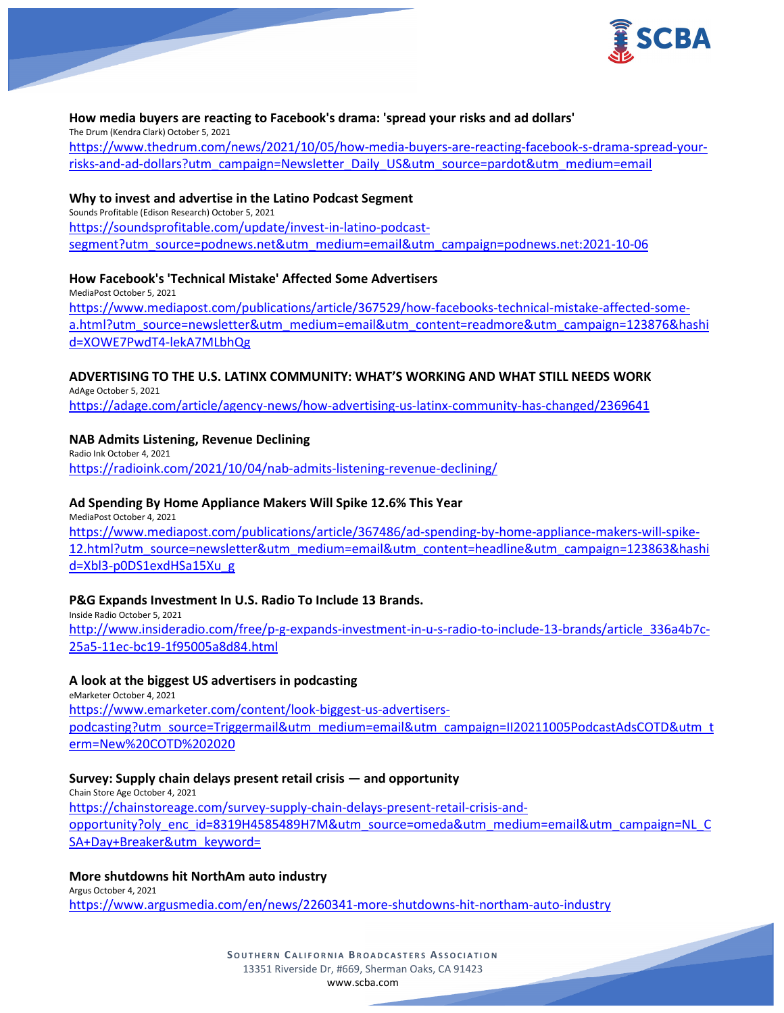

### **How media buyers are reacting to Facebook's drama: 'spread your risks and ad dollars'**

The Drum (Kendra Clark) October 5, 2021

[https://www.thedrum.com/news/2021/10/05/how-media-buyers-are-reacting-facebook-s-drama-spread-your](https://www.thedrum.com/news/2021/10/05/how-media-buyers-are-reacting-facebook-s-drama-spread-your-risks-and-ad-dollars?utm_campaign=Newsletter_Daily_US&utm_source=pardot&utm_medium=email)[risks-and-ad-dollars?utm\\_campaign=Newsletter\\_Daily\\_US&utm\\_source=pardot&utm\\_medium=email](https://www.thedrum.com/news/2021/10/05/how-media-buyers-are-reacting-facebook-s-drama-spread-your-risks-and-ad-dollars?utm_campaign=Newsletter_Daily_US&utm_source=pardot&utm_medium=email)

#### **Why to invest and advertise in the Latino Podcast Segment**

Sounds Profitable (Edison Research) October 5, 2021 [https://soundsprofitable.com/update/invest-in-latino-podcast](https://soundsprofitable.com/update/invest-in-latino-podcast-segment?utm_source=podnews.net&utm_medium=email&utm_campaign=podnews.net:2021-10-06)[segment?utm\\_source=podnews.net&utm\\_medium=email&utm\\_campaign=podnews.net:2021-10-06](https://soundsprofitable.com/update/invest-in-latino-podcast-segment?utm_source=podnews.net&utm_medium=email&utm_campaign=podnews.net:2021-10-06)

### **How Facebook's 'Technical Mistake' Affected Some Advertisers**

MediaPost October 5, 2021 [https://www.mediapost.com/publications/article/367529/how-facebooks-technical-mistake-affected-some](https://www.mediapost.com/publications/article/367529/how-facebooks-technical-mistake-affected-some-a.html?utm_source=newsletter&utm_medium=email&utm_content=readmore&utm_campaign=123876&hashid=XOWE7PwdT4-lekA7MLbhQg)[a.html?utm\\_source=newsletter&utm\\_medium=email&utm\\_content=readmore&utm\\_campaign=123876&hashi](https://www.mediapost.com/publications/article/367529/how-facebooks-technical-mistake-affected-some-a.html?utm_source=newsletter&utm_medium=email&utm_content=readmore&utm_campaign=123876&hashid=XOWE7PwdT4-lekA7MLbhQg) [d=XOWE7PwdT4-lekA7MLbhQg](https://www.mediapost.com/publications/article/367529/how-facebooks-technical-mistake-affected-some-a.html?utm_source=newsletter&utm_medium=email&utm_content=readmore&utm_campaign=123876&hashid=XOWE7PwdT4-lekA7MLbhQg)

## **ADVERTISING TO THE U.S. LATINX COMMUNITY: WHAT'S WORKING AND WHAT STILL NEEDS WORK**

AdAge October 5, 2021 <https://adage.com/article/agency-news/how-advertising-us-latinx-community-has-changed/2369641>

## **NAB Admits Listening, Revenue Declining**

Radio Ink October 4, 2021 <https://radioink.com/2021/10/04/nab-admits-listening-revenue-declining/>

### **Ad Spending By Home Appliance Makers Will Spike 12.6% This Year**

MediaPost October 4, 2021 [https://www.mediapost.com/publications/article/367486/ad-spending-by-home-appliance-makers-will-spike-](https://www.mediapost.com/publications/article/367486/ad-spending-by-home-appliance-makers-will-spike-12.html?utm_source=newsletter&utm_medium=email&utm_content=headline&utm_campaign=123863&hashid=Xbl3-p0DS1exdHSa15Xu_g)[12.html?utm\\_source=newsletter&utm\\_medium=email&utm\\_content=headline&utm\\_campaign=123863&hashi](https://www.mediapost.com/publications/article/367486/ad-spending-by-home-appliance-makers-will-spike-12.html?utm_source=newsletter&utm_medium=email&utm_content=headline&utm_campaign=123863&hashid=Xbl3-p0DS1exdHSa15Xu_g) [d=Xbl3-p0DS1exdHSa15Xu\\_g](https://www.mediapost.com/publications/article/367486/ad-spending-by-home-appliance-makers-will-spike-12.html?utm_source=newsletter&utm_medium=email&utm_content=headline&utm_campaign=123863&hashid=Xbl3-p0DS1exdHSa15Xu_g)

## **P&G Expands Investment In U.S. Radio To Include 13 Brands.**

Inside Radio October 5, 2021 [http://www.insideradio.com/free/p-g-expands-investment-in-u-s-radio-to-include-13-brands/article\\_336a4b7c-](http://www.insideradio.com/free/p-g-expands-investment-in-u-s-radio-to-include-13-brands/article_336a4b7c-25a5-11ec-bc19-1f95005a8d84.html)[25a5-11ec-bc19-1f95005a8d84.html](http://www.insideradio.com/free/p-g-expands-investment-in-u-s-radio-to-include-13-brands/article_336a4b7c-25a5-11ec-bc19-1f95005a8d84.html)

## **A look at the biggest US advertisers in podcasting**

eMarketer October 4, 2021 [https://www.emarketer.com/content/look-biggest-us-advertisers](https://www.emarketer.com/content/look-biggest-us-advertisers-podcasting?utm_source=Triggermail&utm_medium=email&utm_campaign=II20211005PodcastAdsCOTD&utm_term=New%20COTD%202020)[podcasting?utm\\_source=Triggermail&utm\\_medium=email&utm\\_campaign=II20211005PodcastAdsCOTD&utm\\_t](https://www.emarketer.com/content/look-biggest-us-advertisers-podcasting?utm_source=Triggermail&utm_medium=email&utm_campaign=II20211005PodcastAdsCOTD&utm_term=New%20COTD%202020) [erm=New%20COTD%202020](https://www.emarketer.com/content/look-biggest-us-advertisers-podcasting?utm_source=Triggermail&utm_medium=email&utm_campaign=II20211005PodcastAdsCOTD&utm_term=New%20COTD%202020)

## **Survey: Supply chain delays present retail crisis — and opportunity**

Chain Store Age October 4, 2021 [https://chainstoreage.com/survey-supply-chain-delays-present-retail-crisis-and](https://chainstoreage.com/survey-supply-chain-delays-present-retail-crisis-and-opportunity?oly_enc_id=8319H4585489H7M&utm_source=omeda&utm_medium=email&utm_campaign=NL_CSA+Day+Breaker&utm_keyword=)[opportunity?oly\\_enc\\_id=8319H4585489H7M&utm\\_source=omeda&utm\\_medium=email&utm\\_campaign=NL\\_C](https://chainstoreage.com/survey-supply-chain-delays-present-retail-crisis-and-opportunity?oly_enc_id=8319H4585489H7M&utm_source=omeda&utm_medium=email&utm_campaign=NL_CSA+Day+Breaker&utm_keyword=) [SA+Day+Breaker&utm\\_keyword=](https://chainstoreage.com/survey-supply-chain-delays-present-retail-crisis-and-opportunity?oly_enc_id=8319H4585489H7M&utm_source=omeda&utm_medium=email&utm_campaign=NL_CSA+Day+Breaker&utm_keyword=)

#### **More shutdowns hit NorthAm auto industry**

Argus October 4, 2021 <https://www.argusmedia.com/en/news/2260341-more-shutdowns-hit-northam-auto-industry>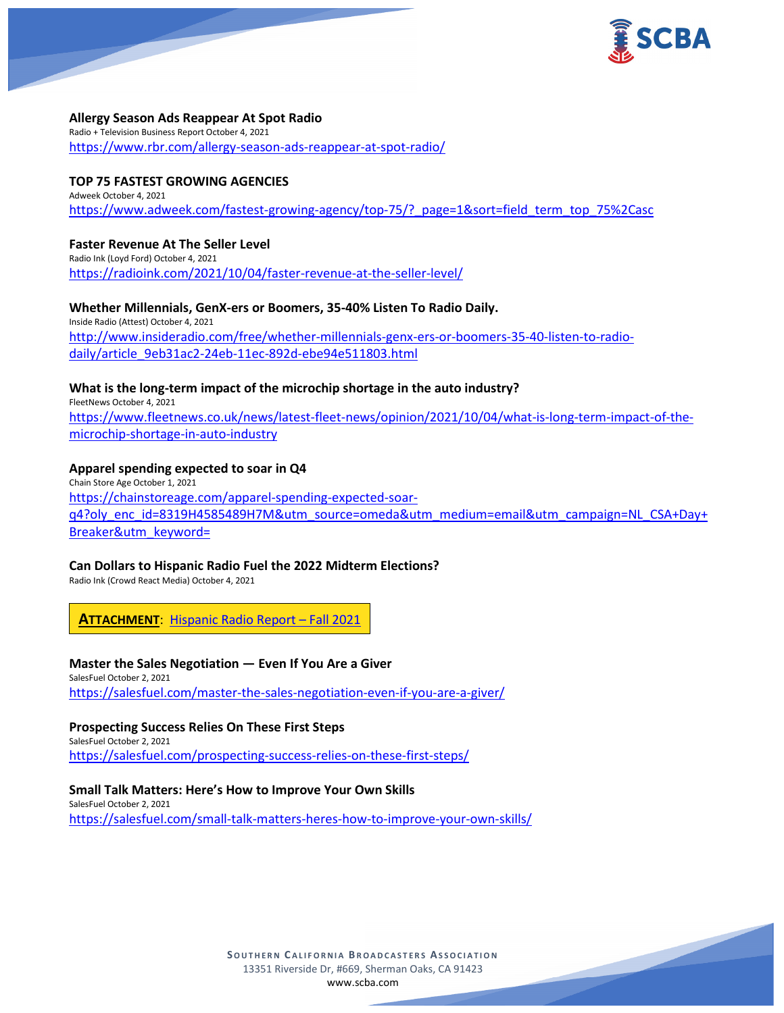

#### **Allergy Season Ads Reappear At Spot Radio**

Radio + Television Business Report October 4, 2021 <https://www.rbr.com/allergy-season-ads-reappear-at-spot-radio/>

#### **TOP 75 FASTEST GROWING AGENCIES**

Adweek October 4, 2021 [https://www.adweek.com/fastest-growing-agency/top-75/?\\_page=1&sort=field\\_term\\_top\\_75%2Casc](https://www.adweek.com/fastest-growing-agency/top-75/?_page=1&sort=field_term_top_75%2Casc)

#### **Faster Revenue At The Seller Level**

Radio Ink (Loyd Ford) October 4, 2021 <https://radioink.com/2021/10/04/faster-revenue-at-the-seller-level/>

**Whether Millennials, GenX-ers or Boomers, 35-40% Listen To Radio Daily.** Inside Radio (Attest) October 4, 2021 [http://www.insideradio.com/free/whether-millennials-genx-ers-or-boomers-35-40-listen-to-radio](http://www.insideradio.com/free/whether-millennials-genx-ers-or-boomers-35-40-listen-to-radio-daily/article_9eb31ac2-24eb-11ec-892d-ebe94e511803.html)[daily/article\\_9eb31ac2-24eb-11ec-892d-ebe94e511803.html](http://www.insideradio.com/free/whether-millennials-genx-ers-or-boomers-35-40-listen-to-radio-daily/article_9eb31ac2-24eb-11ec-892d-ebe94e511803.html)

**What is the long-term impact of the microchip shortage in the auto industry?**

FleetNews October 4, 2021 [https://www.fleetnews.co.uk/news/latest-fleet-news/opinion/2021/10/04/what-is-long-term-impact-of-the](https://www.fleetnews.co.uk/news/latest-fleet-news/opinion/2021/10/04/what-is-long-term-impact-of-the-microchip-shortage-in-auto-industry)[microchip-shortage-in-auto-industry](https://www.fleetnews.co.uk/news/latest-fleet-news/opinion/2021/10/04/what-is-long-term-impact-of-the-microchip-shortage-in-auto-industry)

#### **Apparel spending expected to soar in Q4**

Chain Store Age October 1, 2021 [https://chainstoreage.com/apparel-spending-expected-soar](https://chainstoreage.com/apparel-spending-expected-soar-q4?oly_enc_id=8319H4585489H7M&utm_source=omeda&utm_medium=email&utm_campaign=NL_CSA+Day+Breaker&utm_keyword=)[q4?oly\\_enc\\_id=8319H4585489H7M&utm\\_source=omeda&utm\\_medium=email&utm\\_campaign=NL\\_CSA+Day+](https://chainstoreage.com/apparel-spending-expected-soar-q4?oly_enc_id=8319H4585489H7M&utm_source=omeda&utm_medium=email&utm_campaign=NL_CSA+Day+Breaker&utm_keyword=) [Breaker&utm\\_keyword=](https://chainstoreage.com/apparel-spending-expected-soar-q4?oly_enc_id=8319H4585489H7M&utm_source=omeda&utm_medium=email&utm_campaign=NL_CSA+Day+Breaker&utm_keyword=)

#### **Can Dollars to Hispanic Radio Fuel the 2022 Midterm Elections?**

Radio Ink (Crowd React Media) October 4, 2021

**ATTACHMENT**: [Hispanic Radio Report –](https://scba.com/wp-content/uploads/2021/10/Hispanic-Radio-Report-Fall-2021.pdf) Fall 2021

#### **Master the Sales Negotiation — Even If You Are a Giver**

SalesFuel October 2, 2021 <https://salesfuel.com/master-the-sales-negotiation-even-if-you-are-a-giver/>

#### **Prospecting Success Relies On These First Steps**

SalesFuel October 2, 2021 <https://salesfuel.com/prospecting-success-relies-on-these-first-steps/>

#### **Small Talk Matters: Here's How to Improve Your Own Skills**

SalesFuel October 2, 2021 <https://salesfuel.com/small-talk-matters-heres-how-to-improve-your-own-skills/>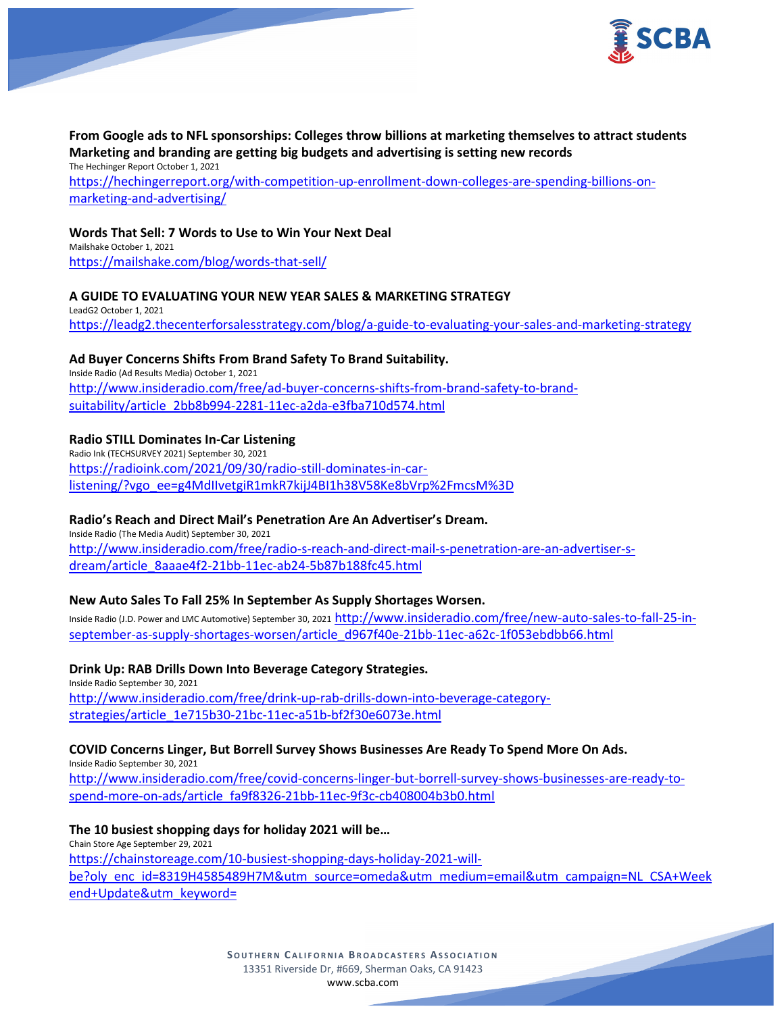

# **From Google ads to NFL sponsorships: Colleges throw billions at marketing themselves to attract students Marketing and branding are getting big budgets and advertising is setting new records**

The Hechinger Report October 1, 2021 [https://hechingerreport.org/with-competition-up-enrollment-down-colleges-are-spending-billions-on](https://hechingerreport.org/with-competition-up-enrollment-down-colleges-are-spending-billions-on-marketing-and-advertising/)[marketing-and-advertising/](https://hechingerreport.org/with-competition-up-enrollment-down-colleges-are-spending-billions-on-marketing-and-advertising/)

### **Words That Sell: 7 Words to Use to Win Your Next Deal**

Mailshake October 1, 2021 <https://mailshake.com/blog/words-that-sell/>

## **A GUIDE TO EVALUATING YOUR NEW YEAR SALES & MARKETING STRATEGY**

LeadG2 October 1, 2021 <https://leadg2.thecenterforsalesstrategy.com/blog/a-guide-to-evaluating-your-sales-and-marketing-strategy>

### **Ad Buyer Concerns Shifts From Brand Safety To Brand Suitability.**

Inside Radio (Ad Results Media) October 1, 2021 [http://www.insideradio.com/free/ad-buyer-concerns-shifts-from-brand-safety-to-brand](http://www.insideradio.com/free/ad-buyer-concerns-shifts-from-brand-safety-to-brand-suitability/article_2bb8b994-2281-11ec-a2da-e3fba710d574.html)[suitability/article\\_2bb8b994-2281-11ec-a2da-e3fba710d574.html](http://www.insideradio.com/free/ad-buyer-concerns-shifts-from-brand-safety-to-brand-suitability/article_2bb8b994-2281-11ec-a2da-e3fba710d574.html)

## **Radio STILL Dominates In-Car Listening**

Radio Ink (TECHSURVEY 2021) September 30, 2021 [https://radioink.com/2021/09/30/radio-still-dominates-in-car](https://radioink.com/2021/09/30/radio-still-dominates-in-car-listening/?vgo_ee=g4MdIIvetgiR1mkR7kijJ4BI1h38V58Ke8bVrp%2FmcsM%3D)[listening/?vgo\\_ee=g4MdIIvetgiR1mkR7kijJ4BI1h38V58Ke8bVrp%2FmcsM%3D](https://radioink.com/2021/09/30/radio-still-dominates-in-car-listening/?vgo_ee=g4MdIIvetgiR1mkR7kijJ4BI1h38V58Ke8bVrp%2FmcsM%3D)

#### **Radio's Reach and Direct Mail's Penetration Are An Advertiser's Dream.**

Inside Radio (The Media Audit) September 30, 2021 [http://www.insideradio.com/free/radio-s-reach-and-direct-mail-s-penetration-are-an-advertiser-s](http://www.insideradio.com/free/radio-s-reach-and-direct-mail-s-penetration-are-an-advertiser-s-dream/article_8aaae4f2-21bb-11ec-ab24-5b87b188fc45.html)[dream/article\\_8aaae4f2-21bb-11ec-ab24-5b87b188fc45.html](http://www.insideradio.com/free/radio-s-reach-and-direct-mail-s-penetration-are-an-advertiser-s-dream/article_8aaae4f2-21bb-11ec-ab24-5b87b188fc45.html)

#### **New Auto Sales To Fall 25% In September As Supply Shortages Worsen.**

Inside Radio (J.D. Power and LMC Automotive) September 30, 2021 [http://www.insideradio.com/free/new-auto-sales-to-fall-25-in](http://www.insideradio.com/free/new-auto-sales-to-fall-25-in-september-as-supply-shortages-worsen/article_d967f40e-21bb-11ec-a62c-1f053ebdbb66.html)[september-as-supply-shortages-worsen/article\\_d967f40e-21bb-11ec-a62c-1f053ebdbb66.html](http://www.insideradio.com/free/new-auto-sales-to-fall-25-in-september-as-supply-shortages-worsen/article_d967f40e-21bb-11ec-a62c-1f053ebdbb66.html)

**Drink Up: RAB Drills Down Into Beverage Category Strategies.** Inside Radio September 30, 2021 [http://www.insideradio.com/free/drink-up-rab-drills-down-into-beverage-category](http://www.insideradio.com/free/drink-up-rab-drills-down-into-beverage-category-strategies/article_1e715b30-21bc-11ec-a51b-bf2f30e6073e.html)[strategies/article\\_1e715b30-21bc-11ec-a51b-bf2f30e6073e.html](http://www.insideradio.com/free/drink-up-rab-drills-down-into-beverage-category-strategies/article_1e715b30-21bc-11ec-a51b-bf2f30e6073e.html)

**COVID Concerns Linger, But Borrell Survey Shows Businesses Are Ready To Spend More On Ads.** Inside Radio September 30, 2021 [http://www.insideradio.com/free/covid-concerns-linger-but-borrell-survey-shows-businesses-are-ready-to](http://www.insideradio.com/free/covid-concerns-linger-but-borrell-survey-shows-businesses-are-ready-to-spend-more-on-ads/article_fa9f8326-21bb-11ec-9f3c-cb408004b3b0.html)[spend-more-on-ads/article\\_fa9f8326-21bb-11ec-9f3c-cb408004b3b0.html](http://www.insideradio.com/free/covid-concerns-linger-but-borrell-survey-shows-businesses-are-ready-to-spend-more-on-ads/article_fa9f8326-21bb-11ec-9f3c-cb408004b3b0.html)

## **The 10 busiest shopping days for holiday 2021 will be…**

Chain Store Age September 29, 2021 [https://chainstoreage.com/10-busiest-shopping-days-holiday-2021-will](https://chainstoreage.com/10-busiest-shopping-days-holiday-2021-will-be?oly_enc_id=8319H4585489H7M&utm_source=omeda&utm_medium=email&utm_campaign=NL_CSA+Weekend+Update&utm_keyword=)[be?oly\\_enc\\_id=8319H4585489H7M&utm\\_source=omeda&utm\\_medium=email&utm\\_campaign=NL\\_CSA+Week](https://chainstoreage.com/10-busiest-shopping-days-holiday-2021-will-be?oly_enc_id=8319H4585489H7M&utm_source=omeda&utm_medium=email&utm_campaign=NL_CSA+Weekend+Update&utm_keyword=) [end+Update&utm\\_keyword=](https://chainstoreage.com/10-busiest-shopping-days-holiday-2021-will-be?oly_enc_id=8319H4585489H7M&utm_source=omeda&utm_medium=email&utm_campaign=NL_CSA+Weekend+Update&utm_keyword=)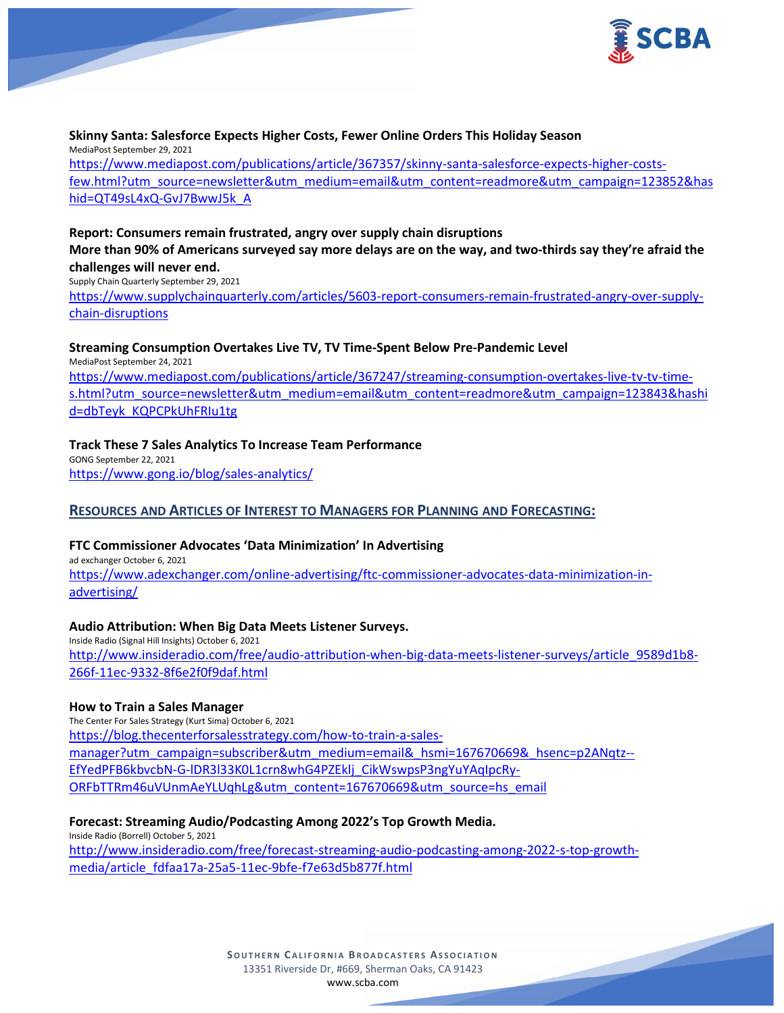

#### **Skinny Santa: Salesforce Expects Higher Costs, Fewer Online Orders This Holiday Season** MediaPost September 29, 2021 [https://www.mediapost.com/publications/article/367357/skinny-santa-salesforce-expects-higher-costs](https://www.mediapost.com/publications/article/367357/skinny-santa-salesforce-expects-higher-costs-few.html?utm_source=newsletter&utm_medium=email&utm_content=readmore&utm_campaign=123852&hashid=QT49sL4xQ-GvJ7BwwJ5k_A)[few.html?utm\\_source=newsletter&utm\\_medium=email&utm\\_content=readmore&utm\\_campaign=123852&has](https://www.mediapost.com/publications/article/367357/skinny-santa-salesforce-expects-higher-costs-few.html?utm_source=newsletter&utm_medium=email&utm_content=readmore&utm_campaign=123852&hashid=QT49sL4xQ-GvJ7BwwJ5k_A) [hid=QT49sL4xQ-GvJ7BwwJ5k\\_A](https://www.mediapost.com/publications/article/367357/skinny-santa-salesforce-expects-higher-costs-few.html?utm_source=newsletter&utm_medium=email&utm_content=readmore&utm_campaign=123852&hashid=QT49sL4xQ-GvJ7BwwJ5k_A)

## **Report: Consumers remain frustrated, angry over supply chain disruptions More than 90% of Americans surveyed say more delays are on the way, and two-thirds say they're afraid the challenges will never end.**

Supply Chain Quarterly September 29, 2021

[https://www.supplychainquarterly.com/articles/5603-report-consumers-remain-frustrated-angry-over-supply](https://www.supplychainquarterly.com/articles/5603-report-consumers-remain-frustrated-angry-over-supply-chain-disruptions)[chain-disruptions](https://www.supplychainquarterly.com/articles/5603-report-consumers-remain-frustrated-angry-over-supply-chain-disruptions)

## **Streaming Consumption Overtakes Live TV, TV Time-Spent Below Pre-Pandemic Level**

MediaPost September 24, 2021 [https://www.mediapost.com/publications/article/367247/streaming-consumption-overtakes-live-tv-tv-time](https://www.mediapost.com/publications/article/367247/streaming-consumption-overtakes-live-tv-tv-time-s.html?utm_source=newsletter&utm_medium=email&utm_content=readmore&utm_campaign=123843&hashid=dbTeyk_KQPCPkUhFRIu1tg)[s.html?utm\\_source=newsletter&utm\\_medium=email&utm\\_content=readmore&utm\\_campaign=123843&hashi](https://www.mediapost.com/publications/article/367247/streaming-consumption-overtakes-live-tv-tv-time-s.html?utm_source=newsletter&utm_medium=email&utm_content=readmore&utm_campaign=123843&hashid=dbTeyk_KQPCPkUhFRIu1tg) [d=dbTeyk\\_KQPCPkUhFRIu1tg](https://www.mediapost.com/publications/article/367247/streaming-consumption-overtakes-live-tv-tv-time-s.html?utm_source=newsletter&utm_medium=email&utm_content=readmore&utm_campaign=123843&hashid=dbTeyk_KQPCPkUhFRIu1tg)

## **Track These 7 Sales Analytics To Increase Team Performance**

GONG September 22, 2021 <https://www.gong.io/blog/sales-analytics/>

# **RESOURCES AND ARTICLES OF INTEREST TO MANAGERS FOR PLANNING AND FORECASTING:**

# **FTC Commissioner Advocates 'Data Minimization' In Advertising**

ad exchanger October 6, 2021 [https://www.adexchanger.com/online-advertising/ftc-commissioner-advocates-data-minimization-in](https://www.adexchanger.com/online-advertising/ftc-commissioner-advocates-data-minimization-in-advertising/)[advertising/](https://www.adexchanger.com/online-advertising/ftc-commissioner-advocates-data-minimization-in-advertising/)

## **Audio Attribution: When Big Data Meets Listener Surveys.**

Inside Radio (Signal Hill Insights) October 6, 2021 [http://www.insideradio.com/free/audio-attribution-when-big-data-meets-listener-surveys/article\\_9589d1b8-](http://www.insideradio.com/free/audio-attribution-when-big-data-meets-listener-surveys/article_9589d1b8-266f-11ec-9332-8f6e2f0f9daf.html) [266f-11ec-9332-8f6e2f0f9daf.html](http://www.insideradio.com/free/audio-attribution-when-big-data-meets-listener-surveys/article_9589d1b8-266f-11ec-9332-8f6e2f0f9daf.html)

## **How to Train a Sales Manager**

The Center For Sales Strategy (Kurt Sima) October 6, 2021 [https://blog.thecenterforsalesstrategy.com/how-to-train-a-sales](https://blog.thecenterforsalesstrategy.com/how-to-train-a-sales-manager?utm_campaign=subscriber&utm_medium=email&_hsmi=167670669&_hsenc=p2ANqtz--EfYedPFB6kbvcbN-G-lDR3l33K0L1crn8whG4PZEklj_CikWswpsP3ngYuYAqIpcRy-ORFbTTRm46uVUnmAeYLUqhLg&utm_content=167670669&utm_source=hs_email)[manager?utm\\_campaign=subscriber&utm\\_medium=email&\\_hsmi=167670669&\\_hsenc=p2ANqtz--](https://blog.thecenterforsalesstrategy.com/how-to-train-a-sales-manager?utm_campaign=subscriber&utm_medium=email&_hsmi=167670669&_hsenc=p2ANqtz--EfYedPFB6kbvcbN-G-lDR3l33K0L1crn8whG4PZEklj_CikWswpsP3ngYuYAqIpcRy-ORFbTTRm46uVUnmAeYLUqhLg&utm_content=167670669&utm_source=hs_email) [EfYedPFB6kbvcbN-G-lDR3l33K0L1crn8whG4PZEklj\\_CikWswpsP3ngYuYAqIpcRy-](https://blog.thecenterforsalesstrategy.com/how-to-train-a-sales-manager?utm_campaign=subscriber&utm_medium=email&_hsmi=167670669&_hsenc=p2ANqtz--EfYedPFB6kbvcbN-G-lDR3l33K0L1crn8whG4PZEklj_CikWswpsP3ngYuYAqIpcRy-ORFbTTRm46uVUnmAeYLUqhLg&utm_content=167670669&utm_source=hs_email)[ORFbTTRm46uVUnmAeYLUqhLg&utm\\_content=167670669&utm\\_source=hs\\_email](https://blog.thecenterforsalesstrategy.com/how-to-train-a-sales-manager?utm_campaign=subscriber&utm_medium=email&_hsmi=167670669&_hsenc=p2ANqtz--EfYedPFB6kbvcbN-G-lDR3l33K0L1crn8whG4PZEklj_CikWswpsP3ngYuYAqIpcRy-ORFbTTRm46uVUnmAeYLUqhLg&utm_content=167670669&utm_source=hs_email)

## **Forecast: Streaming Audio/Podcasting Among 2022's Top Growth Media.**

Inside Radio (Borrell) October 5, 2021 [http://www.insideradio.com/free/forecast-streaming-audio-podcasting-among-2022-s-top-growth](http://www.insideradio.com/free/forecast-streaming-audio-podcasting-among-2022-s-top-growth-media/article_fdfaa17a-25a5-11ec-9bfe-f7e63d5b877f.html)[media/article\\_fdfaa17a-25a5-11ec-9bfe-f7e63d5b877f.html](http://www.insideradio.com/free/forecast-streaming-audio-podcasting-among-2022-s-top-growth-media/article_fdfaa17a-25a5-11ec-9bfe-f7e63d5b877f.html)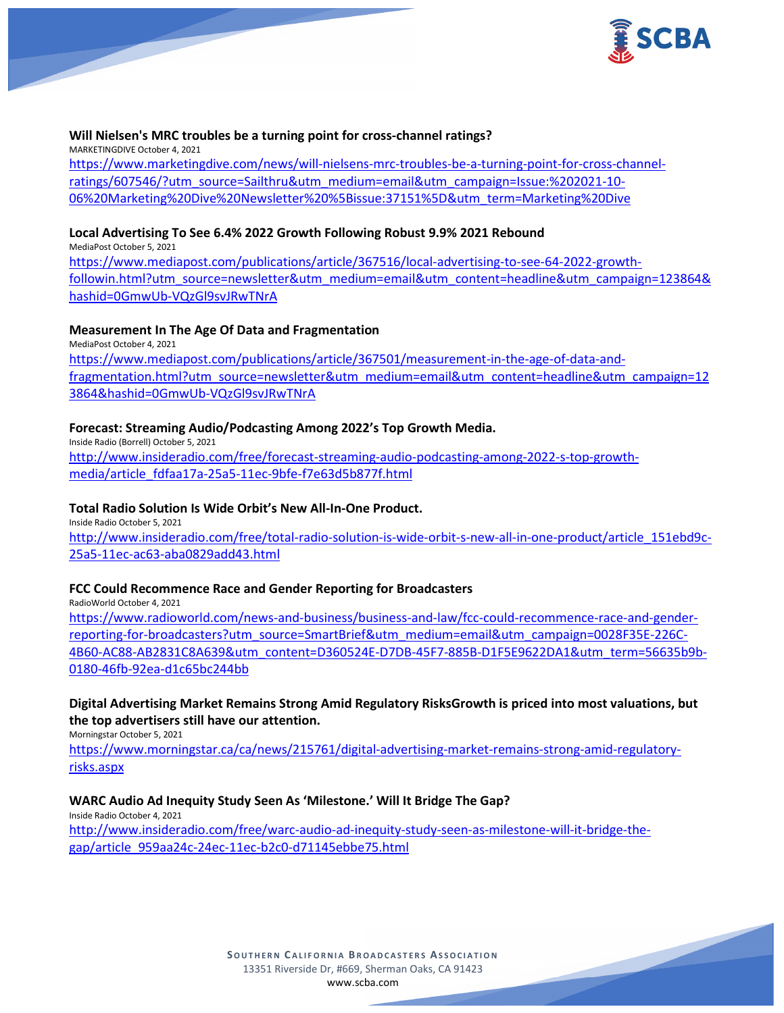

#### **Will Nielsen's MRC troubles be a turning point for cross-channel ratings?**

MARKETINGDIVE October 4, 2021 [https://www.marketingdive.com/news/will-nielsens-mrc-troubles-be-a-turning-point-for-cross-channel](https://www.marketingdive.com/news/will-nielsens-mrc-troubles-be-a-turning-point-for-cross-channel-ratings/607546/?utm_source=Sailthru&utm_medium=email&utm_campaign=Issue:%202021-10-06%20Marketing%20Dive%20Newsletter%20%5Bissue:37151%5D&utm_term=Marketing%20Dive)[ratings/607546/?utm\\_source=Sailthru&utm\\_medium=email&utm\\_campaign=Issue:%202021-10-](https://www.marketingdive.com/news/will-nielsens-mrc-troubles-be-a-turning-point-for-cross-channel-ratings/607546/?utm_source=Sailthru&utm_medium=email&utm_campaign=Issue:%202021-10-06%20Marketing%20Dive%20Newsletter%20%5Bissue:37151%5D&utm_term=Marketing%20Dive) [06%20Marketing%20Dive%20Newsletter%20%5Bissue:37151%5D&utm\\_term=Marketing%20Dive](https://www.marketingdive.com/news/will-nielsens-mrc-troubles-be-a-turning-point-for-cross-channel-ratings/607546/?utm_source=Sailthru&utm_medium=email&utm_campaign=Issue:%202021-10-06%20Marketing%20Dive%20Newsletter%20%5Bissue:37151%5D&utm_term=Marketing%20Dive)

### **Local Advertising To See 6.4% 2022 Growth Following Robust 9.9% 2021 Rebound**

MediaPost October 5, 2021

[https://www.mediapost.com/publications/article/367516/local-advertising-to-see-64-2022-growth](https://www.mediapost.com/publications/article/367516/local-advertising-to-see-64-2022-growth-followin.html?utm_source=newsletter&utm_medium=email&utm_content=headline&utm_campaign=123864&hashid=0GmwUb-VQzGl9svJRwTNrA)[followin.html?utm\\_source=newsletter&utm\\_medium=email&utm\\_content=headline&utm\\_campaign=123864&](https://www.mediapost.com/publications/article/367516/local-advertising-to-see-64-2022-growth-followin.html?utm_source=newsletter&utm_medium=email&utm_content=headline&utm_campaign=123864&hashid=0GmwUb-VQzGl9svJRwTNrA) [hashid=0GmwUb-VQzGl9svJRwTNrA](https://www.mediapost.com/publications/article/367516/local-advertising-to-see-64-2022-growth-followin.html?utm_source=newsletter&utm_medium=email&utm_content=headline&utm_campaign=123864&hashid=0GmwUb-VQzGl9svJRwTNrA)

## **Measurement In The Age Of Data and Fragmentation**

MediaPost October 4, 2021 [https://www.mediapost.com/publications/article/367501/measurement-in-the-age-of-data-and](https://www.mediapost.com/publications/article/367501/measurement-in-the-age-of-data-and-fragmentation.html?utm_source=newsletter&utm_medium=email&utm_content=headline&utm_campaign=123864&hashid=0GmwUb-VQzGl9svJRwTNrA)[fragmentation.html?utm\\_source=newsletter&utm\\_medium=email&utm\\_content=headline&utm\\_campaign=12](https://www.mediapost.com/publications/article/367501/measurement-in-the-age-of-data-and-fragmentation.html?utm_source=newsletter&utm_medium=email&utm_content=headline&utm_campaign=123864&hashid=0GmwUb-VQzGl9svJRwTNrA) [3864&hashid=0GmwUb-VQzGl9svJRwTNrA](https://www.mediapost.com/publications/article/367501/measurement-in-the-age-of-data-and-fragmentation.html?utm_source=newsletter&utm_medium=email&utm_content=headline&utm_campaign=123864&hashid=0GmwUb-VQzGl9svJRwTNrA)

### **Forecast: Streaming Audio/Podcasting Among 2022's Top Growth Media.**

Inside Radio (Borrell) October 5, 2021 [http://www.insideradio.com/free/forecast-streaming-audio-podcasting-among-2022-s-top-growth](http://www.insideradio.com/free/forecast-streaming-audio-podcasting-among-2022-s-top-growth-media/article_fdfaa17a-25a5-11ec-9bfe-f7e63d5b877f.html)[media/article\\_fdfaa17a-25a5-11ec-9bfe-f7e63d5b877f.html](http://www.insideradio.com/free/forecast-streaming-audio-podcasting-among-2022-s-top-growth-media/article_fdfaa17a-25a5-11ec-9bfe-f7e63d5b877f.html)

### **Total Radio Solution Is Wide Orbit's New All-In-One Product.**

Inside Radio October 5, 2021 [http://www.insideradio.com/free/total-radio-solution-is-wide-orbit-s-new-all-in-one-product/article\\_151ebd9c-](http://www.insideradio.com/free/total-radio-solution-is-wide-orbit-s-new-all-in-one-product/article_151ebd9c-25a5-11ec-ac63-aba0829add43.html)[25a5-11ec-ac63-aba0829add43.html](http://www.insideradio.com/free/total-radio-solution-is-wide-orbit-s-new-all-in-one-product/article_151ebd9c-25a5-11ec-ac63-aba0829add43.html)

#### **FCC Could Recommence Race and Gender Reporting for Broadcasters**

RadioWorld October 4, 2021

[https://www.radioworld.com/news-and-business/business-and-law/fcc-could-recommence-race-and-gender](https://www.radioworld.com/news-and-business/business-and-law/fcc-could-recommence-race-and-gender-reporting-for-broadcasters?utm_source=SmartBrief&utm_medium=email&utm_campaign=0028F35E-226C-4B60-AC88-AB2831C8A639&utm_content=D360524E-D7DB-45F7-885B-D1F5E9622DA1&utm_term=56635b9b-0180-46fb-92ea-d1c65bc244bb)[reporting-for-broadcasters?utm\\_source=SmartBrief&utm\\_medium=email&utm\\_campaign=0028F35E-226C-](https://www.radioworld.com/news-and-business/business-and-law/fcc-could-recommence-race-and-gender-reporting-for-broadcasters?utm_source=SmartBrief&utm_medium=email&utm_campaign=0028F35E-226C-4B60-AC88-AB2831C8A639&utm_content=D360524E-D7DB-45F7-885B-D1F5E9622DA1&utm_term=56635b9b-0180-46fb-92ea-d1c65bc244bb)[4B60-AC88-AB2831C8A639&utm\\_content=D360524E-D7DB-45F7-885B-D1F5E9622DA1&utm\\_term=56635b9b-](https://www.radioworld.com/news-and-business/business-and-law/fcc-could-recommence-race-and-gender-reporting-for-broadcasters?utm_source=SmartBrief&utm_medium=email&utm_campaign=0028F35E-226C-4B60-AC88-AB2831C8A639&utm_content=D360524E-D7DB-45F7-885B-D1F5E9622DA1&utm_term=56635b9b-0180-46fb-92ea-d1c65bc244bb)[0180-46fb-92ea-d1c65bc244bb](https://www.radioworld.com/news-and-business/business-and-law/fcc-could-recommence-race-and-gender-reporting-for-broadcasters?utm_source=SmartBrief&utm_medium=email&utm_campaign=0028F35E-226C-4B60-AC88-AB2831C8A639&utm_content=D360524E-D7DB-45F7-885B-D1F5E9622DA1&utm_term=56635b9b-0180-46fb-92ea-d1c65bc244bb)

# **Digital Advertising Market Remains Strong Amid Regulatory RisksGrowth is priced into most valuations, but the top advertisers still have our attention.**

Morningstar October 5, 2021

[https://www.morningstar.ca/ca/news/215761/digital-advertising-market-remains-strong-amid-regulatory](https://www.morningstar.ca/ca/news/215761/digital-advertising-market-remains-strong-amid-regulatory-risks.aspx)[risks.aspx](https://www.morningstar.ca/ca/news/215761/digital-advertising-market-remains-strong-amid-regulatory-risks.aspx)

## **WARC Audio Ad Inequity Study Seen As 'Milestone.' Will It Bridge The Gap?**

Inside Radio October 4, 2021

[http://www.insideradio.com/free/warc-audio-ad-inequity-study-seen-as-milestone-will-it-bridge-the](http://www.insideradio.com/free/warc-audio-ad-inequity-study-seen-as-milestone-will-it-bridge-the-gap/article_959aa24c-24ec-11ec-b2c0-d71145ebbe75.html)[gap/article\\_959aa24c-24ec-11ec-b2c0-d71145ebbe75.html](http://www.insideradio.com/free/warc-audio-ad-inequity-study-seen-as-milestone-will-it-bridge-the-gap/article_959aa24c-24ec-11ec-b2c0-d71145ebbe75.html)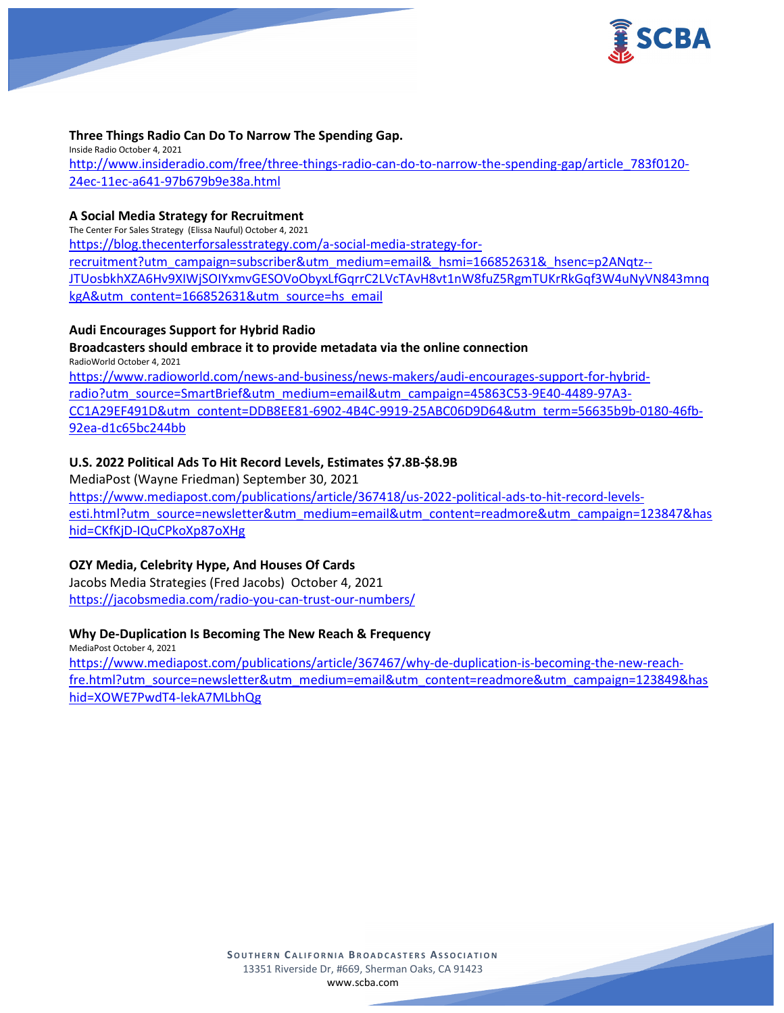

#### **Three Things Radio Can Do To Narrow The Spending Gap.**

Inside Radio October 4, 2021 [http://www.insideradio.com/free/three-things-radio-can-do-to-narrow-the-spending-gap/article\\_783f0120-](http://www.insideradio.com/free/three-things-radio-can-do-to-narrow-the-spending-gap/article_783f0120-24ec-11ec-a641-97b679b9e38a.html) [24ec-11ec-a641-97b679b9e38a.html](http://www.insideradio.com/free/three-things-radio-can-do-to-narrow-the-spending-gap/article_783f0120-24ec-11ec-a641-97b679b9e38a.html)

#### **A Social Media Strategy for Recruitment**

The Center For Sales Strategy (Elissa Nauful) October 4, 2021

[https://blog.thecenterforsalesstrategy.com/a-social-media-strategy-for-](https://blog.thecenterforsalesstrategy.com/a-social-media-strategy-for-recruitment?utm_campaign=subscriber&utm_medium=email&_hsmi=166852631&_hsenc=p2ANqtz--JTUosbkhXZA6Hv9XIWjSOIYxmvGESOVoObyxLfGqrrC2LVcTAvH8vt1nW8fuZ5RgmTUKrRkGqf3W4uNyVN843mnqkgA&utm_content=166852631&utm_source=hs_email)

[recruitment?utm\\_campaign=subscriber&utm\\_medium=email&\\_hsmi=166852631&\\_hsenc=p2ANqtz--](https://blog.thecenterforsalesstrategy.com/a-social-media-strategy-for-recruitment?utm_campaign=subscriber&utm_medium=email&_hsmi=166852631&_hsenc=p2ANqtz--JTUosbkhXZA6Hv9XIWjSOIYxmvGESOVoObyxLfGqrrC2LVcTAvH8vt1nW8fuZ5RgmTUKrRkGqf3W4uNyVN843mnqkgA&utm_content=166852631&utm_source=hs_email) [JTUosbkhXZA6Hv9XIWjSOIYxmvGESOVoObyxLfGqrrC2LVcTAvH8vt1nW8fuZ5RgmTUKrRkGqf3W4uNyVN843mnq](https://blog.thecenterforsalesstrategy.com/a-social-media-strategy-for-recruitment?utm_campaign=subscriber&utm_medium=email&_hsmi=166852631&_hsenc=p2ANqtz--JTUosbkhXZA6Hv9XIWjSOIYxmvGESOVoObyxLfGqrrC2LVcTAvH8vt1nW8fuZ5RgmTUKrRkGqf3W4uNyVN843mnqkgA&utm_content=166852631&utm_source=hs_email) [kgA&utm\\_content=166852631&utm\\_source=hs\\_email](https://blog.thecenterforsalesstrategy.com/a-social-media-strategy-for-recruitment?utm_campaign=subscriber&utm_medium=email&_hsmi=166852631&_hsenc=p2ANqtz--JTUosbkhXZA6Hv9XIWjSOIYxmvGESOVoObyxLfGqrrC2LVcTAvH8vt1nW8fuZ5RgmTUKrRkGqf3W4uNyVN843mnqkgA&utm_content=166852631&utm_source=hs_email)

### **Audi Encourages Support for Hybrid Radio**

**Broadcasters should embrace it to provide metadata via the online connection**

RadioWorld October 4, 2021 [https://www.radioworld.com/news-and-business/news-makers/audi-encourages-support-for-hybrid](https://www.radioworld.com/news-and-business/news-makers/audi-encourages-support-for-hybrid-radio?utm_source=SmartBrief&utm_medium=email&utm_campaign=45863C53-9E40-4489-97A3-CC1A29EF491D&utm_content=DDB8EE81-6902-4B4C-9919-25ABC06D9D64&utm_term=56635b9b-0180-46fb-92ea-d1c65bc244bb)[radio?utm\\_source=SmartBrief&utm\\_medium=email&utm\\_campaign=45863C53-9E40-4489-97A3-](https://www.radioworld.com/news-and-business/news-makers/audi-encourages-support-for-hybrid-radio?utm_source=SmartBrief&utm_medium=email&utm_campaign=45863C53-9E40-4489-97A3-CC1A29EF491D&utm_content=DDB8EE81-6902-4B4C-9919-25ABC06D9D64&utm_term=56635b9b-0180-46fb-92ea-d1c65bc244bb) [CC1A29EF491D&utm\\_content=DDB8EE81-6902-4B4C-9919-25ABC06D9D64&utm\\_term=56635b9b-0180-46fb-](https://www.radioworld.com/news-and-business/news-makers/audi-encourages-support-for-hybrid-radio?utm_source=SmartBrief&utm_medium=email&utm_campaign=45863C53-9E40-4489-97A3-CC1A29EF491D&utm_content=DDB8EE81-6902-4B4C-9919-25ABC06D9D64&utm_term=56635b9b-0180-46fb-92ea-d1c65bc244bb)[92ea-d1c65bc244bb](https://www.radioworld.com/news-and-business/news-makers/audi-encourages-support-for-hybrid-radio?utm_source=SmartBrief&utm_medium=email&utm_campaign=45863C53-9E40-4489-97A3-CC1A29EF491D&utm_content=DDB8EE81-6902-4B4C-9919-25ABC06D9D64&utm_term=56635b9b-0180-46fb-92ea-d1c65bc244bb)

## **U.S. 2022 Political Ads To Hit Record Levels, Estimates \$7.8B-\$8.9B**

MediaPost (Wayne Friedman) September 30, 2021 [https://www.mediapost.com/publications/article/367418/us-2022-political-ads-to-hit-record-levels](https://www.mediapost.com/publications/article/367418/us-2022-political-ads-to-hit-record-levels-esti.html?utm_source=newsletter&utm_medium=email&utm_content=readmore&utm_campaign=123847&hashid=CKfKjD-IQuCPkoXp87oXHg)[esti.html?utm\\_source=newsletter&utm\\_medium=email&utm\\_content=readmore&utm\\_campaign=123847&has](https://www.mediapost.com/publications/article/367418/us-2022-political-ads-to-hit-record-levels-esti.html?utm_source=newsletter&utm_medium=email&utm_content=readmore&utm_campaign=123847&hashid=CKfKjD-IQuCPkoXp87oXHg) [hid=CKfKjD-IQuCPkoXp87oXHg](https://www.mediapost.com/publications/article/367418/us-2022-political-ads-to-hit-record-levels-esti.html?utm_source=newsletter&utm_medium=email&utm_content=readmore&utm_campaign=123847&hashid=CKfKjD-IQuCPkoXp87oXHg)

## **OZY Media, Celebrity Hype, And Houses Of Cards**

Jacobs Media Strategies (Fred Jacobs) October 4, 2021 <https://jacobsmedia.com/radio-you-can-trust-our-numbers/>

## **Why De-Duplication Is Becoming The New Reach & Frequency**

MediaPost October 4, 2021 [https://www.mediapost.com/publications/article/367467/why-de-duplication-is-becoming-the-new-reach](https://www.mediapost.com/publications/article/367467/why-de-duplication-is-becoming-the-new-reach-fre.html?utm_source=newsletter&utm_medium=email&utm_content=readmore&utm_campaign=123849&hashid=XOWE7PwdT4-lekA7MLbhQg)[fre.html?utm\\_source=newsletter&utm\\_medium=email&utm\\_content=readmore&utm\\_campaign=123849&has](https://www.mediapost.com/publications/article/367467/why-de-duplication-is-becoming-the-new-reach-fre.html?utm_source=newsletter&utm_medium=email&utm_content=readmore&utm_campaign=123849&hashid=XOWE7PwdT4-lekA7MLbhQg) [hid=XOWE7PwdT4-lekA7MLbhQg](https://www.mediapost.com/publications/article/367467/why-de-duplication-is-becoming-the-new-reach-fre.html?utm_source=newsletter&utm_medium=email&utm_content=readmore&utm_campaign=123849&hashid=XOWE7PwdT4-lekA7MLbhQg)